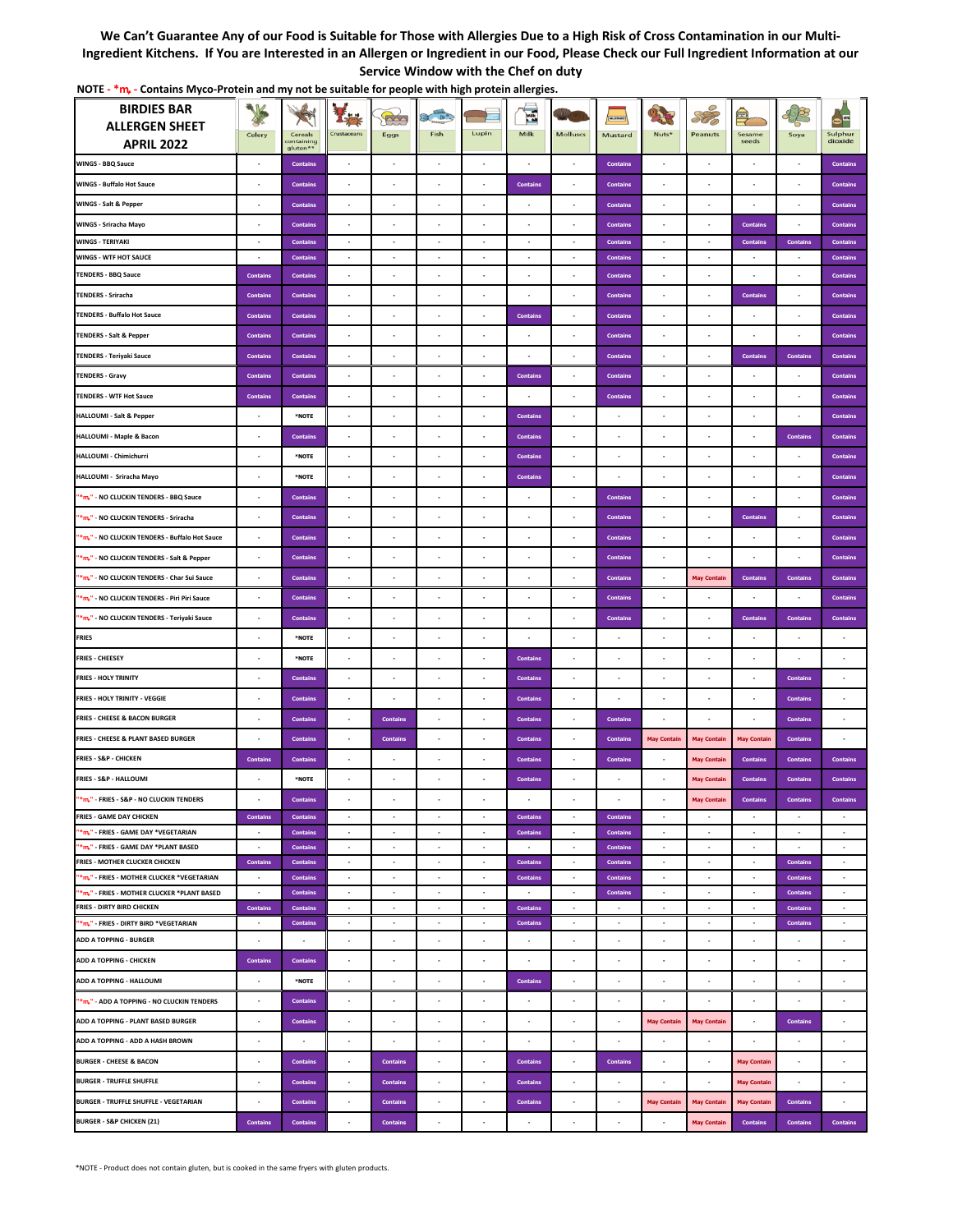## **We Can't Guarantee Any of our Food is Suitable for Those with Allergies Due to a High Risk of Cross Contamination in our Multi-Ingredient Kitchens. If You are Interested in an Allergen or Ingredient in our Food, Please Check our Full Ingredient Information at our Service Window with the Chef on duty**

| <b>BIRDIES BAR</b><br><b>ALLERGEN SHEET</b>                                               | Celery                   | Cereals<br>ontaining               | I.,<br>Crustaceans       | $\sim$<br>Eggs                          | $B^{\circ}$<br>倉<br>Fish            | Lupin                    | $\mathbf{E}$<br>Milk      | <b>Molluscs</b>          | Mustard                            | <b>ANTICO</b><br>Nuts*   | SOC<br>Peanuts           | $=$<br>Sesame<br>seeds   | Soya                               | $\bullet^{\mathbf{m}}$<br>Sulphur<br>dioxide |
|-------------------------------------------------------------------------------------------|--------------------------|------------------------------------|--------------------------|-----------------------------------------|-------------------------------------|--------------------------|---------------------------|--------------------------|------------------------------------|--------------------------|--------------------------|--------------------------|------------------------------------|----------------------------------------------|
| <b>APRIL 2022</b>                                                                         |                          | gluten**                           |                          |                                         |                                     |                          |                           |                          |                                    |                          |                          |                          |                                    |                                              |
| <b>WINGS - BBQ Sauce</b>                                                                  | ä,                       | <b>Contains</b>                    |                          | ÷.                                      | ä,                                  | $\epsilon$               | $\epsilon$                | $\epsilon$               | <b>Contains</b>                    |                          | ×                        | ×,                       | $\epsilon$                         | <b>Contains</b>                              |
| <b>WINGS - Buffalo Hot Sauce</b>                                                          |                          | <b>Contains</b>                    | ×                        | $\overline{\phantom{a}}$                | ٠                                   |                          | <b>Contains</b>           |                          | <b>Contains</b>                    |                          | ٠                        | ٠                        |                                    | <b>Contains</b>                              |
| WINGS - Salt & Pepper                                                                     | $\overline{\phantom{a}}$ | <b>Contains</b>                    | ×                        | $\overline{\phantom{a}}$                | $\cdot$                             | $\cdot$                  | $\overline{\phantom{a}}$  | $\cdot$                  | <b>Contains</b>                    |                          | $\cdot$                  | $\overline{\phantom{a}}$ | $\overline{\phantom{a}}$           | <b>Contains</b>                              |
| WINGS - Sriracha Mayo                                                                     | ٠                        | <b>Contains</b>                    | ٠                        | $\cdot$                                 | ٠                                   | ٠                        | ٠                         | ٠                        | <b>Contains</b>                    | ×                        | ٠                        | <b>Contains</b>          | $\overline{\phantom{a}}$           | <b>Contains</b>                              |
| <b>WINGS - TERIYAKI</b>                                                                   | ٠                        | <b>Contains</b>                    | ٠                        | $\overline{\phantom{a}}$                | $\overline{\phantom{a}}$            | ٠                        | ٠                         | $\overline{\phantom{a}}$ | <b>Contains</b>                    | $\overline{\phantom{a}}$ | $\overline{\phantom{a}}$ | <b>Contains</b>          | <b>Contains</b>                    | <b>Contains</b>                              |
| <b>WINGS - WTF HOT SAUCE</b><br><b>TENDERS - BBQ Sauce</b>                                | ٠                        | <b>Contains</b>                    | $\sim$                   | $\sim$                                  | $\sim$                              | $\sim$                   | $\overline{\phantom{a}}$  | $\overline{\phantom{a}}$ | <b>Contains</b>                    | $\sim$                   | $\sim$                   | $\sim$                   | $\overline{\phantom{a}}$           | <b>Contains</b>                              |
|                                                                                           | <b>Contains</b>          | <b>Contains</b>                    | ٠                        | $\overline{\phantom{a}}$                | ٠                                   | ٠                        |                           | ٠                        | <b>Contains</b>                    | ٠                        | ٠                        | $\overline{\phantom{a}}$ | $\overline{\phantom{a}}$           | <b>Contains</b>                              |
| <b>TENDERS - Sriracha</b>                                                                 | <b>Contains</b>          | <b>Contains</b>                    |                          |                                         |                                     |                          |                           |                          | <b>Contains</b>                    |                          |                          | <b>Contains</b>          |                                    | <b>Contains</b>                              |
| <b>TENDERS - Buffalo Hot Sauce</b>                                                        | <b>Contains</b>          | <b>Contains</b>                    | ٠                        | ٠                                       | ٠                                   | ÷                        | <b>Contains</b>           |                          | <b>Contains</b>                    |                          | ä,                       | $\blacksquare$           |                                    | <b>Contains</b>                              |
| <b>TENDERS - Salt &amp; Pepper</b>                                                        | <b>Contains</b>          | <b>Contains</b>                    | ٠                        | $\overline{\phantom{a}}$                | $\overline{\phantom{a}}$            | $\overline{\phantom{a}}$ | ٠                         | $\overline{\phantom{a}}$ | <b>Contains</b>                    | ٠.                       | $\overline{\phantom{a}}$ | $\overline{\phantom{a}}$ | $\cdot$                            | <b>Contains</b>                              |
| <b>TENDERS - Teriyaki Sauce</b>                                                           | <b>Contains</b>          | <b>Contains</b>                    | ×,                       | $\epsilon$                              | ÷,                                  | ÷.                       |                           | ×.                       | <b>Contains</b>                    |                          | $\epsilon$               | <b>Contains</b>          | <b>Contains</b>                    | <b>Contains</b>                              |
| <b>TENDERS - Gravy</b>                                                                    | <b>Contains</b>          | <b>Contains</b>                    | $\overline{\phantom{a}}$ | $\overline{\phantom{a}}$                | $\overline{\phantom{a}}$            | ٠                        | <b>Contains</b>           | $\overline{\phantom{a}}$ | <b>Contains</b>                    | $\overline{\phantom{a}}$ | $\cdot$                  | $\cdot$                  | $\cdot$                            | <b>Contains</b>                              |
| <b>TENDERS - WTF Hot Sauce</b>                                                            | <b>Contains</b>          | <b>Contains</b>                    | ×                        | $\cdot$                                 | ×                                   | ×                        | ×                         | $\overline{\phantom{a}}$ | <b>Contains</b>                    | ×                        | ×                        | ÷,                       | $\cdot$                            | <b>Contains</b>                              |
| <b>HALLOUMI - Salt &amp; Pepper</b>                                                       | ä,                       | *NOTE                              | ×,                       | ÷,                                      | ÷,                                  | $\epsilon$               | Contains                  | ×.                       |                                    |                          | ä,                       | ×                        | ×                                  | <b>Contains</b>                              |
| HALLOUMI - Maple & Bacon                                                                  | ٠                        | <b>Contains</b>                    | ٠                        | ٠                                       | $\cdot$                             |                          | <b>Contains</b>           |                          |                                    |                          | ٠                        |                          | <b>Contains</b>                    | <b>Contains</b>                              |
| HALLOUMI - Chimichurri                                                                    | $\overline{\phantom{a}}$ | *NOTE                              | ×                        | $\cdot$                                 | ×                                   | $\cdot$                  | <b>Contains</b>           | $\overline{\phantom{a}}$ |                                    |                          | ×                        | ×                        | $\overline{\phantom{a}}$           | <b>Contains</b>                              |
| HALLOUMI - Sriracha Mayo                                                                  | ×,                       | *NOTE                              | $\overline{\phantom{a}}$ | $\cdot$                                 | $\cdot$                             | ×                        | Contains                  | $\epsilon$               | $\overline{\phantom{a}}$           | ÷.                       | $\epsilon$               | $\overline{\phantom{a}}$ | $\overline{\phantom{a}}$           | <b>Contains</b>                              |
| "*m," - NO CLUCKIN TENDERS - BBQ Sauce                                                    | $\overline{\phantom{a}}$ | <b>Contains</b>                    | ×,                       | $\epsilon$                              | ÷,                                  | $\epsilon$               | $\epsilon$                | $\epsilon$               | <b>Contains</b>                    | ÷,                       | ×,                       | ä,                       | ä,                                 | <b>Contains</b>                              |
| "*m," - NO CLUCKIN TENDERS - Sriracha                                                     | ٠                        | <b>Contains</b>                    | $\overline{\phantom{a}}$ | $\cdot$                                 | ×,                                  | ×,                       | ×                         | $\overline{\phantom{a}}$ | <b>Contains</b>                    | ×,                       | ÷,                       | <b>Contains</b>          | $\cdot$                            | <b>Contains</b>                              |
| "*m," - NO CLUCKIN TENDERS - Buffalo Hot Sauce                                            | ä,                       | <b>Contains</b>                    | ÷,                       | $\overline{\phantom{a}}$                | ÷,                                  | ٠                        | ×                         | ×.                       | <b>Contains</b>                    | ×                        | $\epsilon$               | $\epsilon$               | $\overline{\phantom{a}}$           | <b>Contains</b>                              |
| "*m," - NO CLUCKIN TENDERS - Salt & Pepper                                                | ä,                       | <b>Contains</b>                    | J.                       | ÷,                                      |                                     |                          |                           |                          | <b>Contains</b>                    |                          |                          |                          |                                    | <b>Contains</b>                              |
| "*m," - NO CLUCKIN TENDERS - Char Sui Sauce                                               | $\overline{\phantom{a}}$ | <b>Contains</b>                    | $\overline{\phantom{a}}$ | $\cdot$                                 | $\cdot$                             | $\epsilon$               | $\epsilon$                | $\epsilon$               | <b>Contains</b>                    | $\epsilon$               | <b>May Contair</b>       | <b>Contains</b>          | <b>Contains</b>                    | <b>Contains</b>                              |
| "*m," - NO CLUCKIN TENDERS - Piri Piri Sauce                                              | ×,                       | <b>Contains</b>                    | $\overline{\phantom{a}}$ | $\epsilon$                              | $\overline{\phantom{a}}$            | $\overline{\phantom{a}}$ | $\epsilon$                | $\epsilon$               | <b>Contains</b>                    | $\epsilon$               | $\overline{\phantom{a}}$ | $\epsilon$               | ÷.                                 | <b>Contains</b>                              |
| "*m," - NO CLUCKIN TENDERS - Teriyaki Sauce                                               | ä,                       | <b>Contains</b>                    | ×,                       | $\epsilon$                              | ÷,                                  | ÷,                       |                           | ×,                       | <b>Contains</b>                    |                          | ÷,                       | <b>Contains</b>          | <b>Contains</b>                    | <b>Contains</b>                              |
| <b>FRIES</b>                                                                              | $\epsilon$               | *NOTE                              | $\cdot$                  | $\epsilon$                              | $\cdot$                             | $\epsilon$               | $\epsilon$                | $\epsilon$               | $\epsilon$                         | $\mathbf{r}$             | $\cdot$                  | $\overline{\phantom{a}}$ | $\overline{\phantom{a}}$           | $\cdot$                                      |
| <b>FRIES - CHEESEY</b>                                                                    | ٠                        | *NOTE                              | ٠                        | $\epsilon$                              | $\overline{\phantom{a}}$            | $\sim$                   | <b>Contains</b>           | ٠                        | $\overline{\phantom{a}}$           | $\mathbf{r}$             | $\overline{\phantom{a}}$ | $\overline{\phantom{a}}$ | ٠                                  | ٠                                            |
| <b>FRIES - HOLY TRINITY</b>                                                               | ł,                       | <b>Contains</b>                    | ä,                       | J.                                      | $\overline{\phantom{a}}$            | ÷,                       | <b>Contains</b>           | $\epsilon$               |                                    |                          |                          | ä,                       | <b>Contains</b>                    |                                              |
| FRIES - HOLY TRINITY - VEGGIE                                                             | $\overline{\phantom{a}}$ | <b>Contains</b>                    | $\overline{\phantom{a}}$ | $\overline{\phantom{a}}$                | $\overline{\phantom{a}}$            | $\overline{\phantom{a}}$ | <b>Contains</b>           | $\overline{\phantom{a}}$ |                                    |                          | $\overline{\phantom{a}}$ | $\cdot$                  | <b>Contains</b>                    | ٠                                            |
| FRIES - CHEESE & BACON BURGER                                                             | ÷,                       | <b>Contains</b>                    | ÷,                       | <b>Contains</b>                         | $\cdot$                             | $\cdot$                  | <b>Contains</b>           | $\overline{\phantom{a}}$ | <b>Contains</b>                    | ÷,                       | $\cdot$                  | ÷,                       | <b>Contains</b>                    | ä,                                           |
| FRIES - CHEESE & PLANT BASED BURGER                                                       | ä,                       | <b>Contains</b>                    | ÷,                       | <b>Contains</b>                         | ÷,                                  | ×                        | <b>Contains</b>           | ÷,                       | <b>Contains</b>                    | <b>May Contain</b>       | <b>May Contain</b>       | <b>May Contain</b>       | <b>Contains</b>                    |                                              |
| <b>FRIES - S&amp;P - CHICKEN</b>                                                          | <b>Contains</b>          | <b>Contains</b>                    | $\epsilon$               | $\epsilon$                              | $\overline{\phantom{a}}$            | ٠                        | <b>Contains</b>           | ٠                        | <b>Contains</b>                    | $\overline{\phantom{a}}$ | <b>May Contain</b>       | <b>Contains</b>          | <b>Contains</b>                    | Contain                                      |
| FRIES - S&P - HALLOUMI                                                                    | $\overline{\phantom{a}}$ | *NOTE                              | $\cdot$                  | $\cdot$                                 | $\epsilon$                          | $\epsilon$               | <b>Contains</b>           | $\epsilon$               | $\cdot$                            | $\cdot$                  | <b>May Contain</b>       | <b>Contains</b>          | <b>Contains</b>                    | <b>Contains</b>                              |
| "*m," - FRIES - S&P - NO CLUCKIN TENDERS                                                  |                          | <b>Contains</b>                    | ×                        | $\overline{\phantom{a}}$                | $\overline{\phantom{a}}$            | ٠                        |                           |                          |                                    |                          | <b>May Contain</b>       | <b>Contains</b>          | <b>Contains</b>                    | <b>Contains</b>                              |
| <b>FRIES - GAME DAY CHICKEN</b>                                                           | <b>Contains</b>          | <b>Contains</b>                    | $\sim$                   | $\sim$                                  | $\sim$                              | $\sim$                   | <b>Contains</b>           | $\sim$                   | <b>Contains</b>                    | $\overline{\phantom{a}}$ | $\sim$                   | $\sim$                   | $\sim$                             | $\sim$                                       |
| "*m," - FRIES - GAME DAY *VEGETARIAN                                                      | $\cdot$                  | <b>Contains</b>                    | $\cdot$                  | $\cdot$                                 | $\overline{\phantom{a}}$            | $\epsilon$               | <b>Contains</b>           | $\cdot$                  | <b>Contains</b>                    | $\cdot$                  | $\cdot$                  | $\overline{\phantom{a}}$ | $\overline{\phantom{a}}$           | $\overline{\phantom{a}}$                     |
| "*m," - FRIES - GAME DAY *PLANT BASED                                                     | $\sim$                   | <b>Contains</b>                    | $\sim$                   | $\sim$                                  | $\sim$                              | $\sim$                   | $\sim$                    | $\sim$                   | <b>Contains</b>                    | $\sim$                   | $\sim$                   | $\sim$                   | $\sim$                             | $\sim$                                       |
| FRIES - MOTHER CLUCKER CHICKEN                                                            | <b>Contains</b>          | <b>Contains</b>                    | $\overline{\phantom{a}}$ | $\overline{\phantom{a}}$                | $\overline{\phantom{a}}$            | $\bullet$                | <b>Contains</b>           | $\cdot$                  | <b>Contains</b>                    | $\cdot$                  | $\overline{\phantom{a}}$ | $\cdot$                  | <b>Contains</b>                    | $\overline{\phantom{a}}$                     |
| "*m," - FRIES - MOTHER CLUCKER *VEGETARIAN<br>"*m," - FRIES - MOTHER CLUCKER *PLANT BASED | $\sim$<br>$\sim$         | <b>Contains</b><br><b>Contains</b> | $\sim$<br>$\sim$         | $\sim$<br>$\sim$                        | $\overline{\phantom{a}}$<br>$\cdot$ | $\sim$<br>$\epsilon$     | <b>Contains</b><br>$\sim$ | $\sim$<br>$\sim$         | <b>Contains</b><br><b>Contains</b> | $\sim$<br>$\sim$         | $\sim$<br>$\sim$         | $\sim$<br>$\sim$         | <b>Contains</b><br><b>Contains</b> | $\sim$<br>$\cdot$                            |
| FRIES - DIRTY BIRD CHICKEN                                                                | <b>Contains</b>          | <b>Contains</b>                    | $\sim$                   | $\sim$                                  | $\cdot$                             | $\sim$                   | <b>Contains</b>           | $\sim$                   | $\cdot$                            | $\sim$                   | $\sim$                   | $\sim$                   | <b>Contains</b>                    | $\sim$                                       |
| "*m." - FRIES - DIRTY BIRD *VEGETARIAN                                                    | $\sim$                   | <b>Contains</b>                    | $\overline{\phantom{a}}$ | $\cdot$                                 | $\overline{\phantom{a}}$            | $\bullet$                | <b>Contains</b>           | $\overline{\phantom{a}}$ | $\cdot$                            | $\cdot$                  | $\sim$                   | $\overline{\phantom{a}}$ | Contains                           | $\cdot$                                      |
| <b>ADD A TOPPING - BURGER</b>                                                             | $\overline{\phantom{a}}$ | ٠                                  | $\overline{\phantom{a}}$ | ٠                                       | ٠                                   | $\overline{\phantom{a}}$ | ٠                         | ٠                        | ٠                                  | ٠                        | ٠                        | $\overline{\phantom{a}}$ | ٠                                  | $\overline{\phantom{a}}$                     |
| ADD A TOPPING - CHICKEN                                                                   | <b>Contains</b>          | <b>Contains</b>                    | $\overline{\phantom{a}}$ | $\overline{\phantom{a}}$                | $\overline{\phantom{a}}$            | $\cdot$                  | $\cdot$                   | $\overline{\phantom{a}}$ | $\overline{\phantom{a}}$           | ٠                        | $\overline{\phantom{a}}$ | $\overline{\phantom{a}}$ | $\cdot$                            | $\overline{\phantom{a}}$                     |
| ADD A TOPPING - HALLOUMI                                                                  | ٠                        | *NOTE                              | $\overline{\phantom{a}}$ | $\overline{\phantom{a}}$                | $\overline{\phantom{a}}$            | $\overline{\phantom{a}}$ | <b>Contains</b>           | $\overline{\phantom{a}}$ | $\blacksquare$                     | ٠                        | ×                        | $\overline{\phantom{a}}$ | $\overline{\phantom{a}}$           | ×,                                           |
| "*m," - ADD A TOPPING - NO CLUCKIN TENDERS                                                | $\cdot$                  | <b>Contains</b>                    | $\overline{\phantom{a}}$ | $\overline{\phantom{a}}$                | $\overline{\phantom{a}}$            | ٠                        | $\overline{\phantom{a}}$  | $\overline{\phantom{a}}$ | $\overline{\phantom{a}}$           | $\sim$                   | $\epsilon$               | $\overline{\phantom{a}}$ | $\cdot$                            | $\overline{\phantom{a}}$                     |
| ADD A TOPPING - PLANT BASED BURGER                                                        | $\overline{\phantom{a}}$ | <b>Contains</b>                    | ٠                        | $\overline{\phantom{a}}$                | $\overline{\phantom{a}}$            | $\cdot$                  | $\overline{\phantom{a}}$  | $\overline{\phantom{a}}$ | $\overline{\phantom{a}}$           | <b>May Contain</b>       | <b>May Contain</b>       | $\cdot$                  | <b>Contains</b>                    | $\overline{\phantom{a}}$                     |
| ADD A TOPPING - ADD A HASH BROWN                                                          | ٠                        | ٠                                  | ٠                        | $\overline{\phantom{a}}$                | $\overline{\phantom{a}}$            | ٠                        |                           | ٠                        |                                    |                          | $\overline{\phantom{a}}$ | $\epsilon$               | $\overline{\phantom{a}}$           | ٠                                            |
| <b>BURGER - CHEESE &amp; BACON</b>                                                        | ٠                        | <b>Contains</b>                    | ×                        | <b>Contains</b>                         | $\cdot$                             | $\overline{\phantom{a}}$ | <b>Contains</b>           | ٠                        | <b>Contains</b>                    |                          | $\blacksquare$           | <b>May Contain</b>       | $\overline{\phantom{a}}$           |                                              |
| <b>BURGER - TRUFFLE SHUFFLE</b>                                                           | $\cdot$                  | <b>Contains</b>                    | $\overline{\phantom{a}}$ | <b>Contains</b>                         | $\overline{\phantom{a}}$            | $\overline{\phantom{a}}$ | <b>Contains</b>           | $\overline{\phantom{a}}$ | $\cdot$                            | ٠                        | $\cdot$                  | <b>May Contain</b>       | $\cdot$                            | ٠                                            |
| <b>BURGER - TRUFFLE SHUFFLE - VEGETARIAN</b>                                              | ×,                       | <b>Contains</b>                    | $\overline{\phantom{a}}$ | $\textbf{Contents} \vspace{-0.00000cm}$ | $\cdot$                             | $\overline{\phantom{a}}$ | <b>Contains</b>           | $\overline{\phantom{a}}$ | $\overline{\phantom{a}}$           | <b>May Contain</b>       | <b>May Contain</b>       | <b>May Contain</b>       | <b>Contains</b>                    | ٠                                            |
| <b>BURGER - S&amp;P CHICKEN (21)</b>                                                      | <b>Contains</b>          | <b>Contains</b>                    | $\overline{\phantom{a}}$ | Contains                                | $\overline{\phantom{a}}$            | $\blacksquare$           |                           | $\overline{\phantom{a}}$ |                                    | $\sim$                   | <b>May Contain</b>       | <b>Contains</b>          | <b>Contains</b>                    | <b>Contains</b>                              |

**NOTE** - \*m<sub>+</sub> - Contains Myco-Protein and my not be suitable for people with high protein allergies.